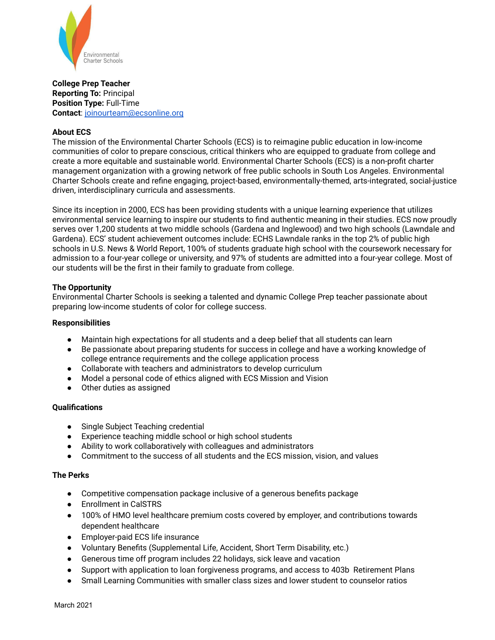

**College Prep Teacher Reporting To:** Principal **Position Type:** Full-Time **Contact**: joinourteam@ecsonline.org

# **About ECS**

The mission of the Environmental Charter Schools (ECS) is to reimagine public education in low-income communities of color to prepare conscious, critical thinkers who are equipped to graduate from college and create a more equitable and sustainable world. Environmental Charter Schools (ECS) is a non-profit charter management organization with a growing network of free public schools in South Los Angeles. Environmental Charter Schools create and refine engaging, project-based, environmentally-themed, arts-integrated, social-justice driven, interdisciplinary curricula and assessments.

Since its inception in 2000, ECS has been providing students with a unique learning experience that utilizes environmental service learning to inspire our students to find authentic meaning in their studies. ECS now proudly serves over 1,200 students at two middle schools (Gardena and Inglewood) and two high schools (Lawndale and Gardena). ECS' student achievement outcomes include: ECHS Lawndale ranks in the top 2% of public high schools in U.S. News & World Report, 100% of students graduate high school with the coursework necessary for admission to a four-year college or university, and 97% of students are admitted into a four-year college. Most of our students will be the first in their family to graduate from college.

## **The Opportunity**

Environmental Charter Schools is seeking a talented and dynamic College Prep teacher passionate about preparing low-income students of color for college success.

### **Responsibilities**

- Maintain high expectations for all students and a deep belief that all students can learn
- Be passionate about preparing students for success in college and have a working knowledge of college entrance requirements and the college application process
- Collaborate with teachers and administrators to develop curriculum
- Model a personal code of ethics aligned with ECS Mission and Vision
- Other duties as assigned

## **Qualifications**

- Single Subject Teaching credential
- Experience teaching middle school or high school students
- Ability to work collaboratively with colleagues and administrators
- Commitment to the success of all students and the ECS mission, vision, and values

## **The Perks**

- Competitive compensation package inclusive of a generous benefits package
- Enrollment in CalSTRS
- 100% of HMO level healthcare premium costs covered by employer, and contributions towards dependent healthcare
- Employer-paid ECS life insurance
- Voluntary Benefits (Supplemental Life, Accident, Short Term Disability, etc.)
- Generous time off program includes 22 holidays, sick leave and vacation
- Support with application to loan forgiveness programs, and access to 403b Retirement Plans
- Small Learning Communities with smaller class sizes and lower student to counselor ratios